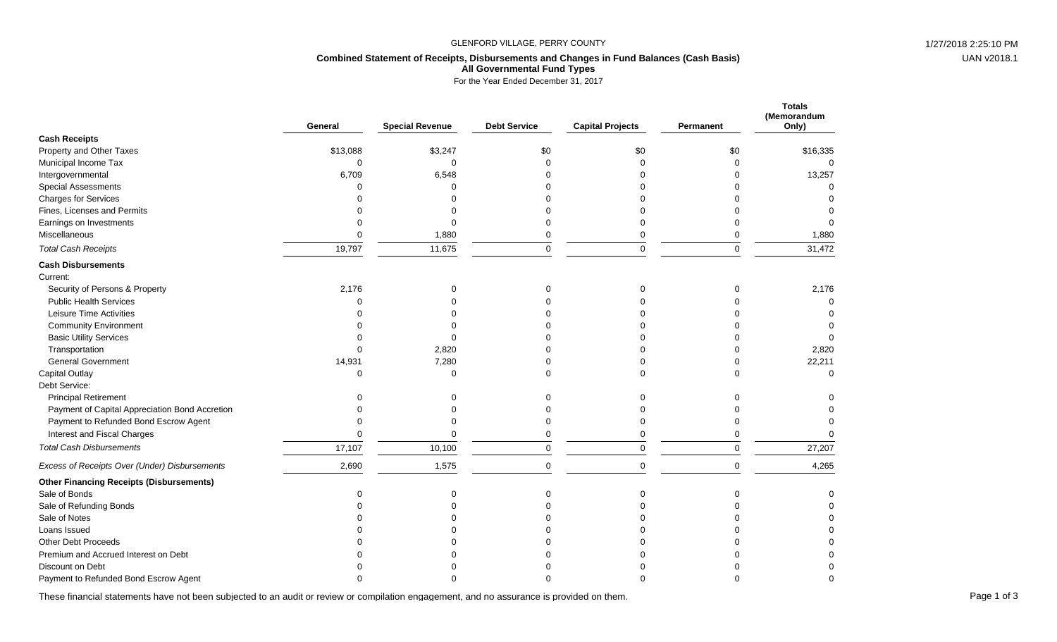#### GLENFORD VILLAGE, PERRY COUNTY **1/27/2018** 2:25:10 PM

# UAN v2018.1

## **Combined Statement of Receipts, Disbursements and Changes in Fund Balances (Cash Basis) All Governmental Fund Types**

For the Year Ended December 31, 2017

|                                                 | General  | <b>Special Revenue</b> | <b>Debt Service</b> | <b>Capital Projects</b> | <b>Permanent</b> | <b>Totals</b><br>(Memorandum<br>Only) |
|-------------------------------------------------|----------|------------------------|---------------------|-------------------------|------------------|---------------------------------------|
| <b>Cash Receipts</b>                            |          |                        |                     |                         |                  |                                       |
| Property and Other Taxes                        | \$13,088 | \$3,247                | \$0                 | \$0                     | \$0              | \$16,335                              |
| Municipal Income Tax                            | $\Omega$ | $\Omega$               | $\Omega$            | $\Omega$                | $\Omega$         | ∩                                     |
| Intergovernmental                               | 6,709    | 6,548                  |                     |                         | O                | 13,257                                |
| <b>Special Assessments</b>                      | $\Omega$ | $\Omega$               |                     |                         |                  |                                       |
| <b>Charges for Services</b>                     |          | U                      |                     |                         |                  |                                       |
| Fines, Licenses and Permits                     |          | $\Omega$               |                     |                         |                  |                                       |
| Earnings on Investments                         |          | $\Omega$               |                     |                         |                  | $\Omega$                              |
| Miscellaneous                                   | $\Omega$ | 1,880                  | $\Omega$            | 0                       | $\Omega$         | 1,880                                 |
| <b>Total Cash Receipts</b>                      | 19,797   | 11,675                 | $\mathbf 0$         | 0                       | $\mathbf 0$      | 31,472                                |
| <b>Cash Disbursements</b>                       |          |                        |                     |                         |                  |                                       |
| Current:                                        |          |                        |                     |                         |                  |                                       |
| Security of Persons & Property                  | 2,176    | 0                      | 0                   | 0                       | $\Omega$         | 2,176                                 |
| <b>Public Health Services</b>                   | $\Omega$ | $\Omega$               |                     |                         | O                | $\Omega$                              |
| Leisure Time Activities                         |          | ი                      |                     |                         |                  |                                       |
| <b>Community Environment</b>                    |          | በ                      |                     |                         |                  | ∩                                     |
| <b>Basic Utility Services</b>                   |          | $\Omega$               |                     |                         |                  | $\Omega$                              |
| Transportation                                  | $\Omega$ | 2,820                  |                     |                         | $\Omega$         | 2,820                                 |
| <b>General Government</b>                       | 14,931   | 7,280                  |                     |                         | $\Omega$         | 22,211                                |
| Capital Outlay                                  | $\Omega$ | $\Omega$               | n                   | U                       | $\Omega$         | $\Omega$                              |
| Debt Service:                                   |          |                        |                     |                         |                  |                                       |
| <b>Principal Retirement</b>                     |          | $\Omega$               | ∩                   |                         | $\Omega$         |                                       |
| Payment of Capital Appreciation Bond Accretion  |          | $\Omega$               |                     |                         |                  |                                       |
| Payment to Refunded Bond Escrow Agent           | $\Omega$ | $\Omega$               | $\Omega$            | 0                       | $\Omega$         |                                       |
| Interest and Fiscal Charges                     | $\Omega$ | $\Omega$               | $\Omega$            | $\mathbf 0$             | $\Omega$         | $\Omega$                              |
| <b>Total Cash Disbursements</b>                 | 17,107   | 10,100                 | $\mathbf 0$         | 0                       | $\mathbf 0$      | 27,207                                |
| Excess of Receipts Over (Under) Disbursements   | 2,690    | 1,575                  | $\Omega$            | $\mathbf 0$             | $\mathbf 0$      | 4,265                                 |
| <b>Other Financing Receipts (Disbursements)</b> |          |                        |                     |                         |                  |                                       |
| Sale of Bonds                                   | $\Omega$ | 0                      | $\mathbf 0$         | 0                       | $\mathbf 0$      |                                       |
| Sale of Refunding Bonds                         |          | $\Omega$               |                     |                         |                  |                                       |
| Sale of Notes                                   |          | በ                      |                     |                         |                  |                                       |
| Loans Issued                                    |          | ሰ                      |                     |                         |                  |                                       |
| <b>Other Debt Proceeds</b>                      |          |                        |                     |                         |                  |                                       |
| Premium and Accrued Interest on Debt            |          |                        |                     |                         |                  |                                       |
| Discount on Debt                                |          |                        |                     |                         |                  |                                       |
| Payment to Refunded Bond Escrow Agent           |          |                        |                     |                         |                  |                                       |

These financial statements have not been subjected to an audit or review or compilation engagement, and no assurance is provided on them.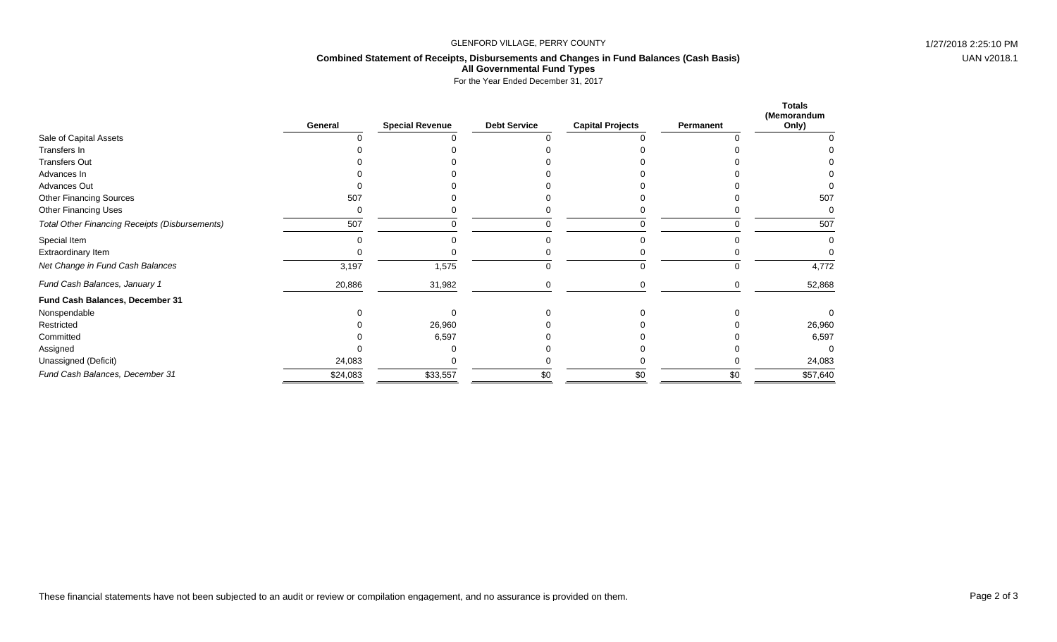#### GLENFORD VILLAGE, PERRY COUNTY **1/27/2018** 2:25:10 PM

### **Combined Statement of Receipts, Disbursements and Changes in Fund Balances (Cash Basis) All Governmental Fund Types**

For the Year Ended December 31, 2017

|                                                       | General  | <b>Special Revenue</b> | <b>Debt Service</b> | <b>Capital Projects</b> | Permanent | <b>Totals</b><br>(Memorandum<br>Only) |
|-------------------------------------------------------|----------|------------------------|---------------------|-------------------------|-----------|---------------------------------------|
| Sale of Capital Assets                                |          |                        |                     |                         |           |                                       |
| Transfers In                                          |          |                        |                     |                         |           |                                       |
| <b>Transfers Out</b>                                  |          |                        |                     |                         |           |                                       |
| Advances In                                           |          |                        |                     |                         |           |                                       |
| Advances Out                                          |          |                        |                     |                         |           |                                       |
| <b>Other Financing Sources</b>                        | 507      |                        |                     |                         |           | 507                                   |
| Other Financing Uses                                  |          |                        |                     |                         |           |                                       |
| <b>Total Other Financing Receipts (Disbursements)</b> | 507      |                        |                     |                         |           | 507                                   |
| Special Item                                          |          |                        |                     |                         |           |                                       |
| <b>Extraordinary Item</b>                             |          |                        |                     |                         |           |                                       |
| Net Change in Fund Cash Balances                      | 3,197    | 1,575                  |                     |                         | 0         | 4,772                                 |
| Fund Cash Balances, January 1                         | 20,886   | 31,982                 |                     |                         |           | 52,868                                |
| Fund Cash Balances, December 31                       |          |                        |                     |                         |           |                                       |
| Nonspendable                                          |          |                        |                     |                         |           |                                       |
| Restricted                                            |          | 26,960                 |                     |                         |           | 26,960                                |
| Committed                                             |          | 6,597                  |                     |                         |           | 6,597                                 |
| Assigned                                              |          |                        |                     |                         |           |                                       |
| Unassigned (Deficit)                                  | 24,083   |                        |                     |                         |           | 24,083                                |
| Fund Cash Balances, December 31                       | \$24,083 | \$33,557               | \$0                 | \$0                     | \$0       | \$57,640                              |